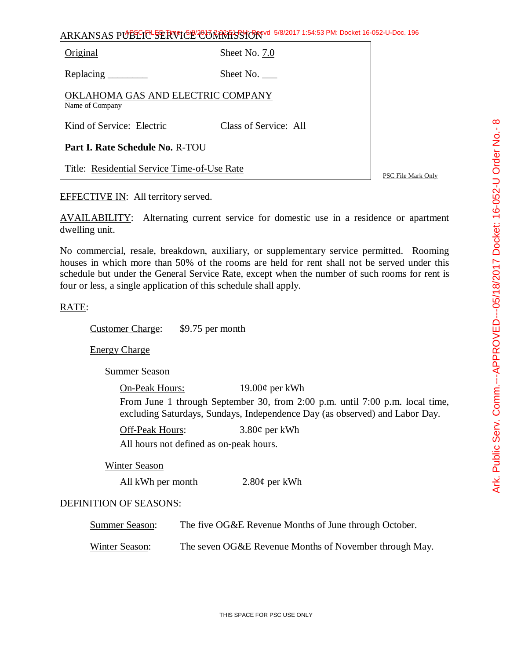| ARKANSAS PUBLICE SERVICE CONTRASSION 5/8/2017 1:54:53 PM: Docket 16-052-U-Doc. 196 |  |
|------------------------------------------------------------------------------------|--|
|------------------------------------------------------------------------------------|--|

Original Sheet No. 7.0

Replacing Sheet No.

OKLAHOMA GAS AND ELECTRIC COMPANY Name of Company

Kind of Service: Electric Class of Service: All

**Part I. Rate Schedule No.** R-TOU

Title: Residential Service Time-of-Use Rate

PSC File Mark Only

EFFECTIVE IN: All territory served.

AVAILABILITY: Alternating current service for domestic use in a residence or apartment dwelling unit.

No commercial, resale, breakdown, auxiliary, or supplementary service permitted. Rooming houses in which more than 50% of the rooms are held for rent shall not be served under this schedule but under the General Service Rate, except when the number of such rooms for rent is four or less, a single application of this schedule shall apply.

## RATE:

Customer Charge: \$9.75 per month

Energy Charge

Summer Season

On-Peak Hours: 19.00¢ per kWh From June 1 through September 30, from 2:00 p.m. until 7:00 p.m. local time, excluding Saturdays, Sundays, Independence Day (as observed) and Labor Day.

Off-Peak Hours: 3.80¢ per kWh

All hours not defined as on-peak hours.

Winter Season

All kWh per month 2.80¢ per kWh

## DEFINITION OF SEASONS:

Summer Season: The five OG&E Revenue Months of June through October.

Winter Season: The seven OG&E Revenue Months of November through May.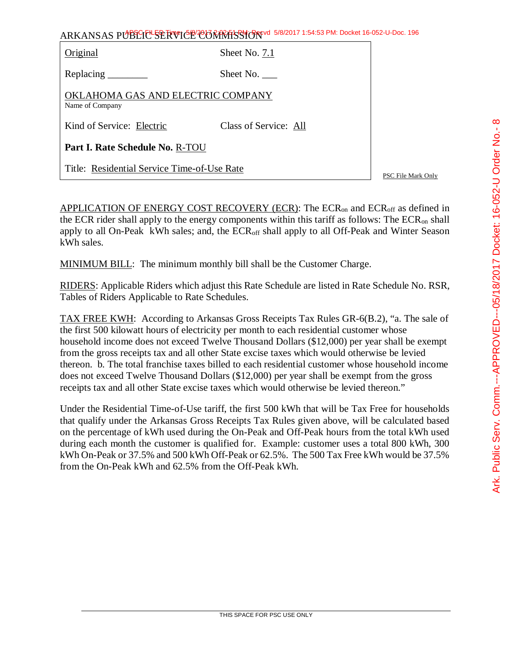ARKANSAS PUBLIC SERVICE COMMISSION 5/8/2017 1:54:53 PM: Docket 16-052-U-Doc. 196 Original Sheet No. 7.1 Replacing Sheet No. OKLAHOMA GAS AND ELECTRIC COMPANY Name of Company Kind of Service: Electric Class of Service: All **Part I. Rate Schedule No.** R-TOU

Title: Residential Service Time-of-Use Rate

PSC File Mark Only

APPLICATION OF ENERGY COST RECOVERY (ECR): The  $ECR_{on}$  and  $ECR_{off}$  as defined in the ECR rider shall apply to the energy components within this tariff as follows: The ECRon shall apply to all On-Peak kWh sales; and, the ECR<sub>off</sub> shall apply to all Off-Peak and Winter Season kWh sales.

MINIMUM BILL: The minimum monthly bill shall be the Customer Charge.

RIDERS: Applicable Riders which adjust this Rate Schedule are listed in Rate Schedule No. RSR, Tables of Riders Applicable to Rate Schedules.

TAX FREE KWH: According to Arkansas Gross Receipts Tax Rules GR-6(B.2), "a. The sale of the first 500 kilowatt hours of electricity per month to each residential customer whose household income does not exceed Twelve Thousand Dollars (\$12,000) per year shall be exempt from the gross receipts tax and all other State excise taxes which would otherwise be levied thereon. b. The total franchise taxes billed to each residential customer whose household income does not exceed Twelve Thousand Dollars (\$12,000) per year shall be exempt from the gross receipts tax and all other State excise taxes which would otherwise be levied thereon."

Under the Residential Time-of-Use tariff, the first 500 kWh that will be Tax Free for households that qualify under the Arkansas Gross Receipts Tax Rules given above, will be calculated based on the percentage of kWh used during the On-Peak and Off-Peak hours from the total kWh used during each month the customer is qualified for. Example: customer uses a total 800 kWh, 300 kWh On-Peak or 37.5% and 500 kWh Off-Peak or 62.5%. The 500 Tax Free kWh would be 37.5% from the On-Peak kWh and 62.5% from the Off-Peak kWh.